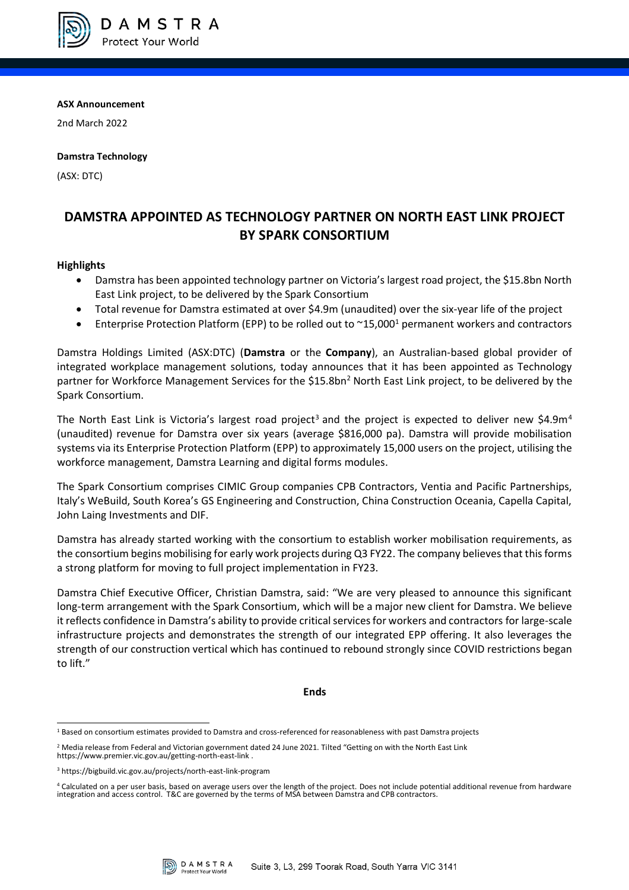

**ASX Announcement**

2nd March 2022

# **Damstra Technology**

(ASX: DTC)

# **DAMSTRA APPOINTED AS TECHNOLOGY PARTNER ON NORTH EAST LINK PROJECT BY SPARK CONSORTIUM**

# **Highlights**

- Damstra has been appointed technology partner on Victoria's largest road project, the \$15.8bn North East Link project, to be delivered by the Spark Consortium
- Total revenue for Damstra estimated at over \$4.9m (unaudited) over the six-year life of the project
- Enterprise Protection Platform (EPP) to be rolled out to ~15,000<sup>1</sup> permanent workers and contractors

Damstra Holdings Limited (ASX:DTC) (**Damstra** or the **Company**), an Australian-based global provider of integrated workplace management solutions, today announces that it has been appointed as Technology partner for Workforce Management Services for the \$15.8bn<sup>2</sup> North East Link project, to be delivered by the Spark Consortium.

The North East Link is Victoria's largest road project<sup>3</sup> and the project is expected to deliver new \$4.9m<sup>4</sup> (unaudited) revenue for Damstra over six years (average \$816,000 pa). Damstra will provide mobilisation systems via its Enterprise Protection Platform (EPP) to approximately 15,000 users on the project, utilising the workforce management, Damstra Learning and digital forms modules.

The Spark Consortium comprises CIMIC Group companies CPB Contractors, Ventia and Pacific Partnerships, Italy's WeBuild, South Korea's GS Engineering and Construction, China Construction Oceania, Capella Capital, John Laing Investments and DIF.

Damstra has already started working with the consortium to establish worker mobilisation requirements, as the consortium begins mobilising for early work projects during Q3 FY22. The company believes that this forms a strong platform for moving to full project implementation in FY23.

Damstra Chief Executive Officer, Christian Damstra, said: "We are very pleased to announce this significant long-term arrangement with the Spark Consortium, which will be a major new client for Damstra. We believe it reflects confidence in Damstra's ability to provide critical services for workers and contractors for large-scale infrastructure projects and demonstrates the strength of our integrated EPP offering. It also leverages the strength of our construction vertical which has continued to rebound strongly since COVID restrictions began to lift."

**Ends**



<sup>1</sup> Based on consortium estimates provided to Damstra and cross-referenced for reasonableness with past Damstra projects

 $2$  Media release from Federal and Victorian government dated 24 June 2021. Tilted "Getting on with the North East Link https://www.premier.vic.gov.au/getting-north-east-link .

<sup>3</sup> https://bigbuild.vic.gov.au/projects/north-east-link-program

<sup>4</sup> Calculated on a per user basis, based on average users over the length of the project. Does not include potential additional revenue from hardware integration and access control. T&C are governed by the terms of MSA between Damstra and CPB contractors.